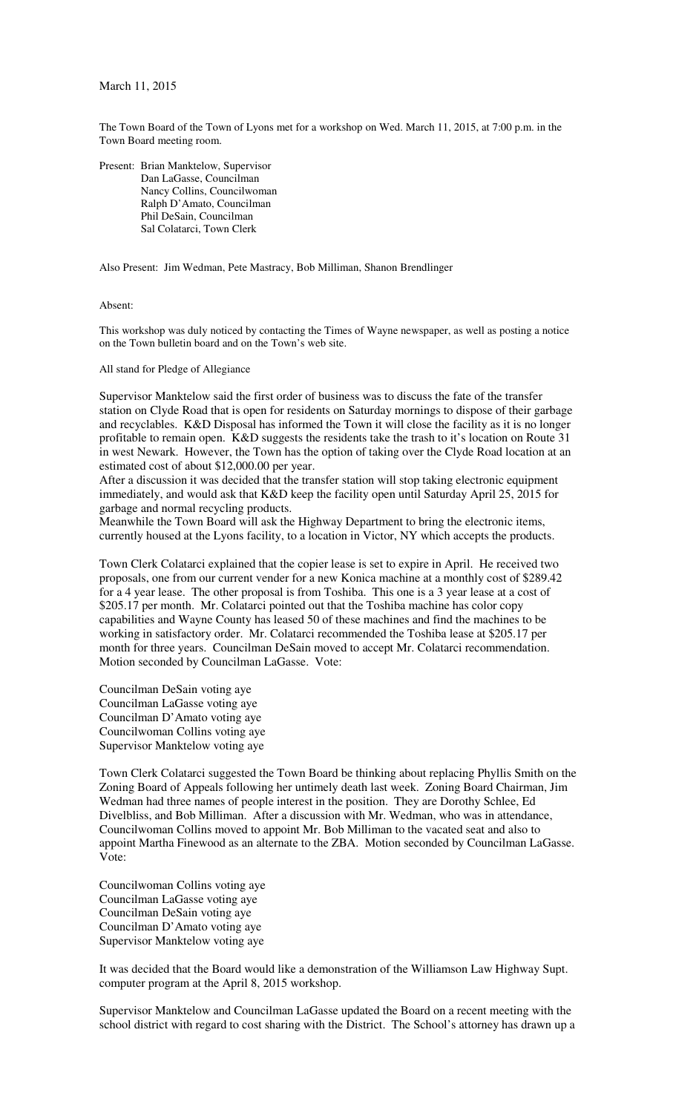## March 11, 2015

The Town Board of the Town of Lyons met for a workshop on Wed. March 11, 2015, at 7:00 p.m. in the Town Board meeting room.

Present: Brian Manktelow, Supervisor Dan LaGasse, Councilman Nancy Collins, Councilwoman Ralph D'Amato, Councilman Phil DeSain, Councilman Sal Colatarci, Town Clerk

Also Present: Jim Wedman, Pete Mastracy, Bob Milliman, Shanon Brendlinger

## Absent:

This workshop was duly noticed by contacting the Times of Wayne newspaper, as well as posting a notice on the Town bulletin board and on the Town's web site.

## All stand for Pledge of Allegiance

Supervisor Manktelow said the first order of business was to discuss the fate of the transfer station on Clyde Road that is open for residents on Saturday mornings to dispose of their garbage and recyclables. K&D Disposal has informed the Town it will close the facility as it is no longer profitable to remain open. K&D suggests the residents take the trash to it's location on Route 31 in west Newark. However, the Town has the option of taking over the Clyde Road location at an estimated cost of about \$12,000.00 per year.

After a discussion it was decided that the transfer station will stop taking electronic equipment immediately, and would ask that K&D keep the facility open until Saturday April 25, 2015 for garbage and normal recycling products.

Meanwhile the Town Board will ask the Highway Department to bring the electronic items, currently housed at the Lyons facility, to a location in Victor, NY which accepts the products.

Town Clerk Colatarci explained that the copier lease is set to expire in April. He received two proposals, one from our current vender for a new Konica machine at a monthly cost of \$289.42 for a 4 year lease. The other proposal is from Toshiba. This one is a 3 year lease at a cost of \$205.17 per month. Mr. Colatarci pointed out that the Toshiba machine has color copy capabilities and Wayne County has leased 50 of these machines and find the machines to be working in satisfactory order. Mr. Colatarci recommended the Toshiba lease at \$205.17 per month for three years. Councilman DeSain moved to accept Mr. Colatarci recommendation. Motion seconded by Councilman LaGasse. Vote:

Councilman DeSain voting aye Councilman LaGasse voting aye Councilman D'Amato voting aye Councilwoman Collins voting aye Supervisor Manktelow voting aye

Town Clerk Colatarci suggested the Town Board be thinking about replacing Phyllis Smith on the Zoning Board of Appeals following her untimely death last week. Zoning Board Chairman, Jim Wedman had three names of people interest in the position. They are Dorothy Schlee, Ed Divelbliss, and Bob Milliman. After a discussion with Mr. Wedman, who was in attendance, Councilwoman Collins moved to appoint Mr. Bob Milliman to the vacated seat and also to appoint Martha Finewood as an alternate to the ZBA. Motion seconded by Councilman LaGasse. Vote:

Councilwoman Collins voting aye Councilman LaGasse voting aye Councilman DeSain voting aye Councilman D'Amato voting aye Supervisor Manktelow voting aye

It was decided that the Board would like a demonstration of the Williamson Law Highway Supt. computer program at the April 8, 2015 workshop.

Supervisor Manktelow and Councilman LaGasse updated the Board on a recent meeting with the school district with regard to cost sharing with the District. The School's attorney has drawn up a